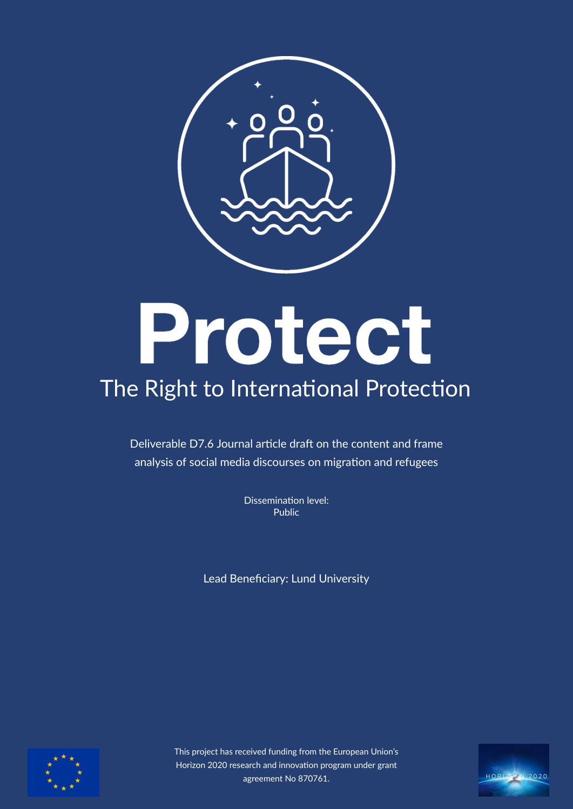

# Protect

# The Right to International Protection

Deliverable D7.6 Journal article draft on the content and frame analysis of social media discourses on migration and refugees

> Dissemination level: Public

Lead Benefciary: Lund University



This project has received funding from the European Union's Horizon 2020 research and innovation program under grant agreement No 870761.

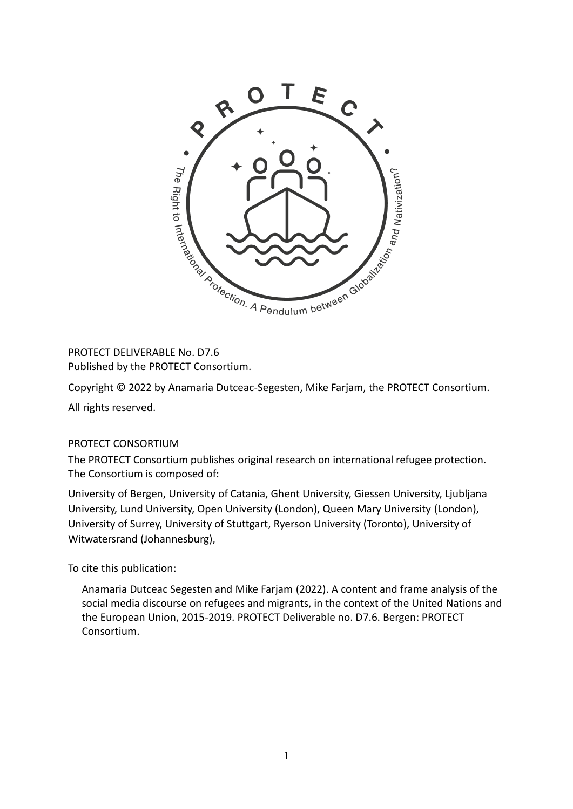

Published by the PROTECT Consortium.

Copyright © 2022 by Anamaria Dutceac-Segesten, Mike Farjam, the PROTECT Consortium.

All rights reserved.

#### PROTECT CONSORTIUM

The PROTECT Consortium publishes original research on international refugee protection. The Consortium is composed of:

University of Bergen, University of Catania, Ghent University, Giessen University, Ljubljana University, Lund University, Open University (London), Queen Mary University (London), University of Surrey, University of Stuttgart, Ryerson University (Toronto), University of Witwatersrand (Johannesburg),

To cite this publication:

Anamaria Dutceac Segesten and Mike Farjam (2022). A content and frame analysis of the social media discourse on refugees and migrants, in the context of the United Nations and the European Union, 2015-2019. PROTECT Deliverable no. D7.6. Bergen: PROTECT Consortium.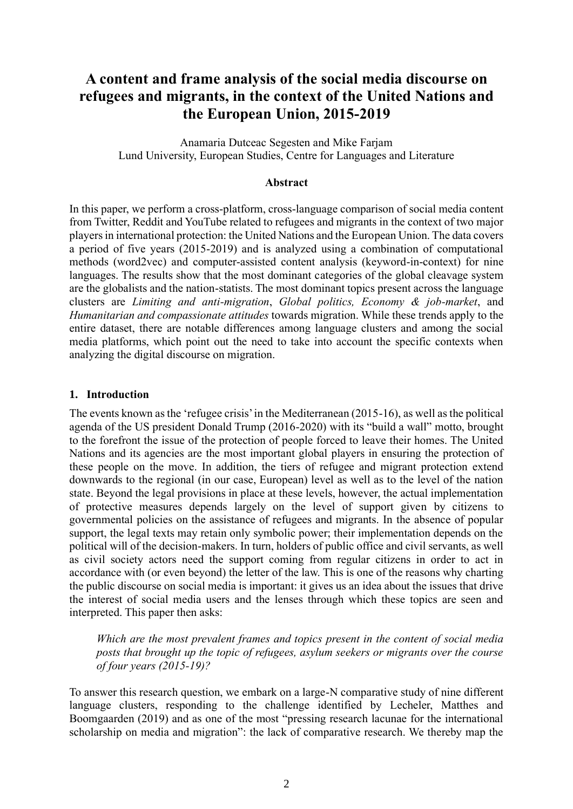# **A content and frame analysis of the social media discourse on refugees and migrants, in the context of the United Nations and the European Union, 2015-2019**

Anamaria Dutceac Segesten and Mike Farjam Lund University, European Studies, Centre for Languages and Literature

#### **Abstract**

In this paper, we perform a cross-platform, cross-language comparison of social media content from Twitter, Reddit and YouTube related to refugees and migrants in the context of two major players in international protection: the United Nations and the European Union. The data covers a period of five years (2015-2019) and is analyzed using a combination of computational methods (word2vec) and computer-assisted content analysis (keyword-in-context) for nine languages. The results show that the most dominant categories of the global cleavage system are the globalists and the nation-statists. The most dominant topics present across the language clusters are *Limiting and anti-migration*, *Global politics, Economy & job-market*, and *Humanitarian and compassionate attitudes* towards migration. While these trends apply to the entire dataset, there are notable differences among language clusters and among the social media platforms, which point out the need to take into account the specific contexts when analyzing the digital discourse on migration.

#### **1. Introduction**

The events known as the 'refugee crisis' in the Mediterranean (2015-16), as well as the political agenda of the US president Donald Trump (2016-2020) with its "build a wall" motto, brought to the forefront the issue of the protection of people forced to leave their homes. The United Nations and its agencies are the most important global players in ensuring the protection of these people on the move. In addition, the tiers of refugee and migrant protection extend downwards to the regional (in our case, European) level as well as to the level of the nation state. Beyond the legal provisions in place at these levels, however, the actual implementation of protective measures depends largely on the level of support given by citizens to governmental policies on the assistance of refugees and migrants. In the absence of popular support, the legal texts may retain only symbolic power; their implementation depends on the political will of the decision-makers. In turn, holders of public office and civil servants, as well as civil society actors need the support coming from regular citizens in order to act in accordance with (or even beyond) the letter of the law. This is one of the reasons why charting the public discourse on social media is important: it gives us an idea about the issues that drive the interest of social media users and the lenses through which these topics are seen and interpreted. This paper then asks:

*Which are the most prevalent frames and topics present in the content of social media posts that brought up the topic of refugees, asylum seekers or migrants over the course of four years (2015-19)?*

To answer this research question, we embark on a large-N comparative study of nine different language clusters, responding to the challenge identified by Lecheler, Matthes and Boomgaarden (2019) and as one of the most "pressing research lacunae for the international scholarship on media and migration": the lack of comparative research. We thereby map the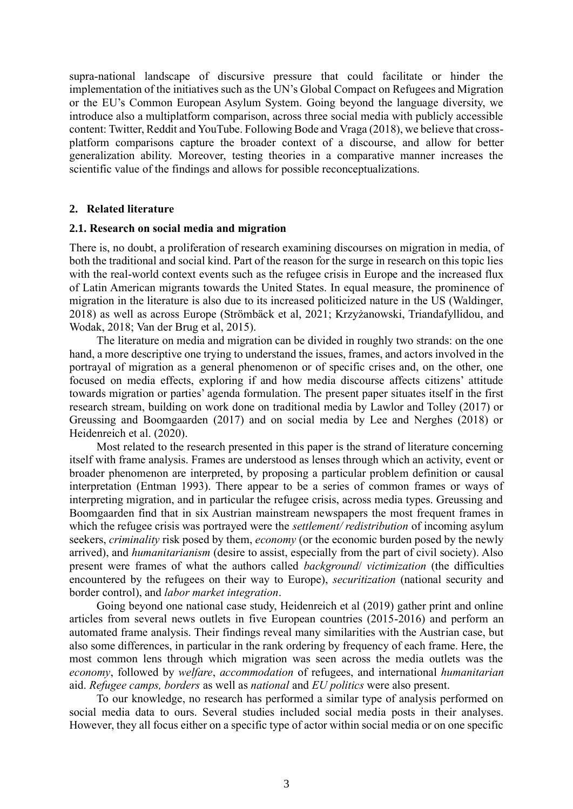supra-national landscape of discursive pressure that could facilitate or hinder the implementation of the initiatives such as the UN's Global Compact on Refugees and Migration or the EU's Common European Asylum System. Going beyond the language diversity, we introduce also a multiplatform comparison, across three social media with publicly accessible content: Twitter, Reddit and YouTube. Following Bode and Vraga (2018), we believe that crossplatform comparisons capture the broader context of a discourse, and allow for better generalization ability. Moreover, testing theories in a comparative manner increases the scientific value of the findings and allows for possible reconceptualizations.

#### **2. Related literature**

#### **2.1. Research on social media and migration**

There is, no doubt, a proliferation of research examining discourses on migration in media, of both the traditional and social kind. Part of the reason for the surge in research on this topic lies with the real-world context events such as the refugee crisis in Europe and the increased flux of Latin American migrants towards the United States. In equal measure, the prominence of migration in the literature is also due to its increased politicized nature in the US (Waldinger, 2018) as well as across Europe (Strömbäck et al, 2021; Krzyżanowski, Triandafyllidou, and Wodak, 2018; Van der Brug et al, 2015).

The literature on media and migration can be divided in roughly two strands: on the one hand, a more descriptive one trying to understand the issues, frames, and actors involved in the portrayal of migration as a general phenomenon or of specific crises and, on the other, one focused on media effects, exploring if and how media discourse affects citizens' attitude towards migration or parties' agenda formulation. The present paper situates itself in the first research stream, building on work done on traditional media by Lawlor and Tolley (2017) or Greussing and Boomgaarden (2017) and on social media by Lee and Nerghes (2018) or Heidenreich et al. (2020).

Most related to the research presented in this paper is the strand of literature concerning itself with frame analysis. Frames are understood as lenses through which an activity, event or broader phenomenon are interpreted, by proposing a particular problem definition or causal interpretation (Entman 1993). There appear to be a series of common frames or ways of interpreting migration, and in particular the refugee crisis, across media types. Greussing and Boomgaarden find that in six Austrian mainstream newspapers the most frequent frames in which the refugee crisis was portrayed were the *settlement/ redistribution* of incoming asylum seekers, *criminality* risk posed by them, *economy* (or the economic burden posed by the newly arrived), and *humanitarianism* (desire to assist, especially from the part of civil society). Also present were frames of what the authors called *background*/ *victimization* (the difficulties encountered by the refugees on their way to Europe), *securitization* (national security and border control), and *labor market integration*.

Going beyond one national case study, Heidenreich et al (2019) gather print and online articles from several news outlets in five European countries (2015-2016) and perform an automated frame analysis. Their findings reveal many similarities with the Austrian case, but also some differences, in particular in the rank ordering by frequency of each frame. Here, the most common lens through which migration was seen across the media outlets was the *economy*, followed by *welfare*, *accommodation* of refugees, and international *humanitarian* aid. *Refugee camps, borders* as well as *national* and *EU politics* were also present.

To our knowledge, no research has performed a similar type of analysis performed on social media data to ours. Several studies included social media posts in their analyses. However, they all focus either on a specific type of actor within social media or on one specific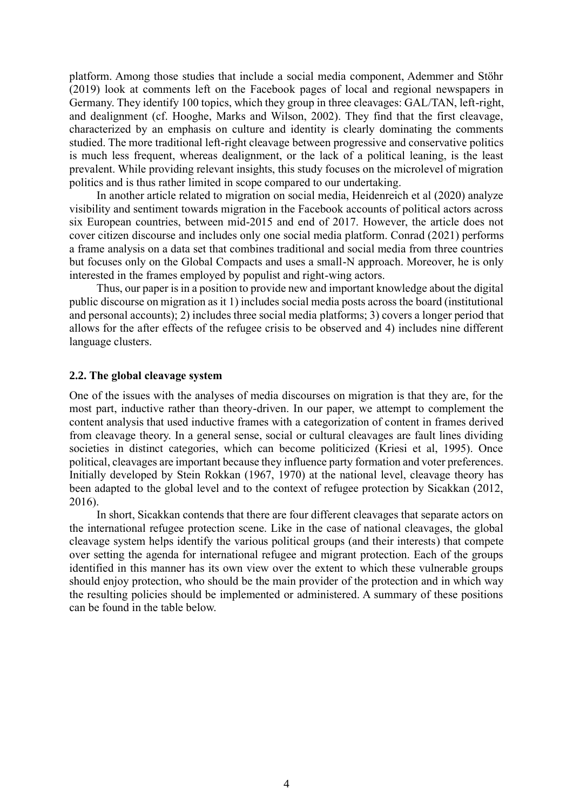platform. Among those studies that include a social media component, Ademmer and Stöhr (2019) look at comments left on the Facebook pages of local and regional newspapers in Germany. They identify 100 topics, which they group in three cleavages: GAL/TAN, left-right, and dealignment (cf. Hooghe, Marks and Wilson, 2002). They find that the first cleavage, characterized by an emphasis on culture and identity is clearly dominating the comments studied. The more traditional left-right cleavage between progressive and conservative politics is much less frequent, whereas dealignment, or the lack of a political leaning, is the least prevalent. While providing relevant insights, this study focuses on the microlevel of migration politics and is thus rather limited in scope compared to our undertaking.

In another article related to migration on social media, Heidenreich et al (2020) analyze visibility and sentiment towards migration in the Facebook accounts of political actors across six European countries, between mid-2015 and end of 2017. However, the article does not cover citizen discourse and includes only one social media platform. Conrad (2021) performs a frame analysis on a data set that combines traditional and social media from three countries but focuses only on the Global Compacts and uses a small-N approach. Moreover, he is only interested in the frames employed by populist and right-wing actors.

Thus, our paper is in a position to provide new and important knowledge about the digital public discourse on migration as it 1) includes social media posts across the board (institutional and personal accounts); 2) includes three social media platforms; 3) covers a longer period that allows for the after effects of the refugee crisis to be observed and 4) includes nine different language clusters.

#### **2.2. The global cleavage system**

One of the issues with the analyses of media discourses on migration is that they are, for the most part, inductive rather than theory-driven. In our paper, we attempt to complement the content analysis that used inductive frames with a categorization of content in frames derived from cleavage theory. In a general sense, social or cultural cleavages are fault lines dividing societies in distinct categories, which can become politicized (Kriesi et al, 1995). Once political, cleavages are important because they influence party formation and voter preferences. Initially developed by Stein Rokkan (1967, 1970) at the national level, cleavage theory has been adapted to the global level and to the context of refugee protection by Sicakkan (2012, 2016).

In short, Sicakkan contends that there are four different cleavages that separate actors on the international refugee protection scene. Like in the case of national cleavages, the global cleavage system helps identify the various political groups (and their interests) that compete over setting the agenda for international refugee and migrant protection. Each of the groups identified in this manner has its own view over the extent to which these vulnerable groups should enjoy protection, who should be the main provider of the protection and in which way the resulting policies should be implemented or administered. A summary of these positions can be found in the table below.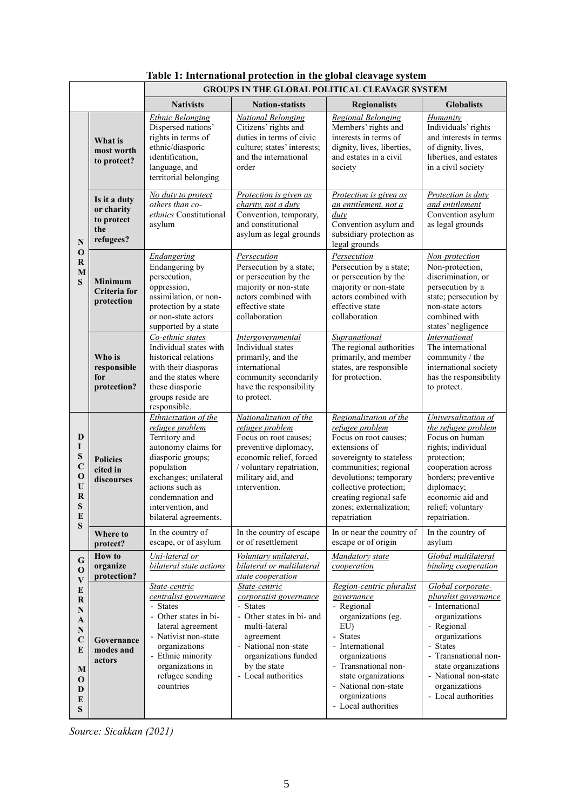|                                                                                                     |                                                              | <b>GROUPS IN THE GLOBAL POLITICAL CLEAVAGE SYSTEM</b>                                                                                                                                                                            |                                                                                                                                                                                                       |                                                                                                                                                                                                                                                                   |                                                                                                                                                                                                                                              |  |  |  |
|-----------------------------------------------------------------------------------------------------|--------------------------------------------------------------|----------------------------------------------------------------------------------------------------------------------------------------------------------------------------------------------------------------------------------|-------------------------------------------------------------------------------------------------------------------------------------------------------------------------------------------------------|-------------------------------------------------------------------------------------------------------------------------------------------------------------------------------------------------------------------------------------------------------------------|----------------------------------------------------------------------------------------------------------------------------------------------------------------------------------------------------------------------------------------------|--|--|--|
|                                                                                                     |                                                              | <b>Nativists</b>                                                                                                                                                                                                                 | <b>Nation-statists</b>                                                                                                                                                                                | <b>Regionalists</b>                                                                                                                                                                                                                                               | <b>Globalists</b>                                                                                                                                                                                                                            |  |  |  |
|                                                                                                     | What is<br>most worth<br>to protect?                         | <b>Ethnic Belonging</b><br>Dispersed nations'<br>rights in terms of<br>ethnic/diasporic<br>identification,<br>language, and<br>territorial belonging                                                                             | <b>National Belonging</b><br>Citizens' rights and<br>duties in terms of civic<br>culture; states' interests;<br>and the international<br>order                                                        | <b>Regional Belonging</b><br>Members' rights and<br>interests in terms of<br>dignity, lives, liberties,<br>and estates in a civil<br>society                                                                                                                      | Humanity<br>Individuals' rights<br>and interests in terms<br>of dignity, lives,<br>liberties, and estates<br>in a civil society                                                                                                              |  |  |  |
| $\overline{\bf N}$<br>$\mathbf 0$<br>R<br>M<br>S                                                    | Is it a duty<br>or charity<br>to protect<br>the<br>refugees? | No duty to protect<br>others than co-<br>ethnics Constitutional<br>asylum                                                                                                                                                        | Protection is given as<br>charity, not a duty<br>Convention, temporary,<br>and constitutional<br>asylum as legal grounds                                                                              | Protection is given as<br>an entitlement, not a<br>duty<br>Convention asylum and<br>subsidiary protection as<br>legal grounds                                                                                                                                     | Protection is duty<br>and entitlement<br>Convention asylum<br>as legal grounds                                                                                                                                                               |  |  |  |
|                                                                                                     | <b>Minimum</b><br><b>Criteria</b> for<br>protection          | <b>Endangering</b><br>Endangering by<br>persecution,<br>oppression,<br>assimilation, or non-<br>protection by a state<br>or non-state actors<br>supported by a state                                                             | Persecution<br>Persecution by a state;<br>or persecution by the<br>majority or non-state<br>actors combined with<br>effective state<br>collaboration                                                  | Persecution<br>Persecution by a state;<br>or persecution by the<br>majority or non-state<br>actors combined with<br>effective state<br>collaboration                                                                                                              | Non-protection<br>Non-protection,<br>discrimination, or<br>persecution by a<br>state; persecution by<br>non-state actors<br>combined with<br>states' negligence                                                                              |  |  |  |
|                                                                                                     | Who is<br>responsible<br>for<br>protection?                  | Co-ethnic states<br>Individual states with<br>historical relations<br>with their diasporas<br>and the states where<br>these diasporic<br>groups reside are<br>responsible.                                                       | <b>Intergovernmental</b><br>Individual states<br>primarily, and the<br>international<br>community secondarily<br>have the responsibility<br>to protect.                                               | Supranational<br>The regional authorities<br>primarily, and member<br>states, are responsible<br>for protection.                                                                                                                                                  | International<br>The international<br>community / the<br>international society<br>has the responsibility<br>to protect.                                                                                                                      |  |  |  |
| D<br>L<br>S<br>$\mathbf C$<br>$\mathbf 0$<br>$\mathbf U$<br>$\bf R$<br>S<br>E<br>S                  | <b>Policies</b><br>cited in<br>discourses                    | Ethnicization of the<br>refugee problem<br>Territory and<br>autonomy claims for<br>diasporic groups;<br>population<br>exchanges; unilateral<br>actions such as<br>condemnation and<br>intervention, and<br>bilateral agreements. | Nationalization of the<br>refugee problem<br>Focus on root causes;<br>preventive diplomacy,<br>economic relief, forced<br>/ voluntary repatriation,<br>military aid, and<br>intervention.             | Regionalization of the<br>refugee problem<br>Focus on root causes;<br>extensions of<br>sovereignty to stateless<br>communities; regional<br>devolutions; temporary<br>collective protection;<br>creating regional safe<br>zones; externalization;<br>repatriation | Universalization of<br>the refugee problem<br>Focus on human<br>rights; individual<br>protection;<br>cooperation across<br>borders; preventive<br>diplomacy;<br>economic aid and<br>relief; voluntary<br>repatriation.                       |  |  |  |
|                                                                                                     | Where to<br>protect?                                         | In the country of<br>escape, or of asylum                                                                                                                                                                                        | In the country of escape<br>or of resettlement                                                                                                                                                        | In or near the country of<br>escape or of origin                                                                                                                                                                                                                  | In the country of<br>asylum                                                                                                                                                                                                                  |  |  |  |
| G<br>O<br>V<br>E<br>R<br>$\mathbf N$<br>A<br>${\bf N}$<br>$\mathbf C$<br>E<br>M<br>0<br>D<br>E<br>S | <b>How to</b><br>organize<br>protection?                     | Uni-lateral or<br>bilateral state actions                                                                                                                                                                                        | Voluntary unilateral,<br>bilateral or multilateral<br>state cooperation                                                                                                                               | Mandatory state<br>cooperation                                                                                                                                                                                                                                    | Global multilateral<br>binding cooperation                                                                                                                                                                                                   |  |  |  |
|                                                                                                     | Governance<br>modes and<br>actors                            | State-centric<br>centralist governance<br>- States<br>- Other states in bi-<br>lateral agreement<br>- Nativist non-state<br>organizations<br>- Ethnic minority<br>organizations in<br>refugee sending<br>countries               | State-centric<br>corporatist governance<br>- States<br>- Other states in bi- and<br>multi-lateral<br>agreement<br>- National non-state<br>organizations funded<br>by the state<br>- Local authorities | Region-centric pluralist<br>governance<br>- Regional<br>organizations (eg.<br>EU)<br>- States<br>- International<br>organizations<br>- Transnational non-<br>state organizations<br>- National non-state<br>organizations<br>- Local authorities                  | Global corporate-<br>pluralist governance<br>- International<br>organizations<br>- Regional<br>organizations<br><b>States</b><br>- Transnational non-<br>state organizations<br>- National non-state<br>organizations<br>- Local authorities |  |  |  |

# **Table 1: International protection in the global cleavage system**

*Source: Sicakkan (2021)*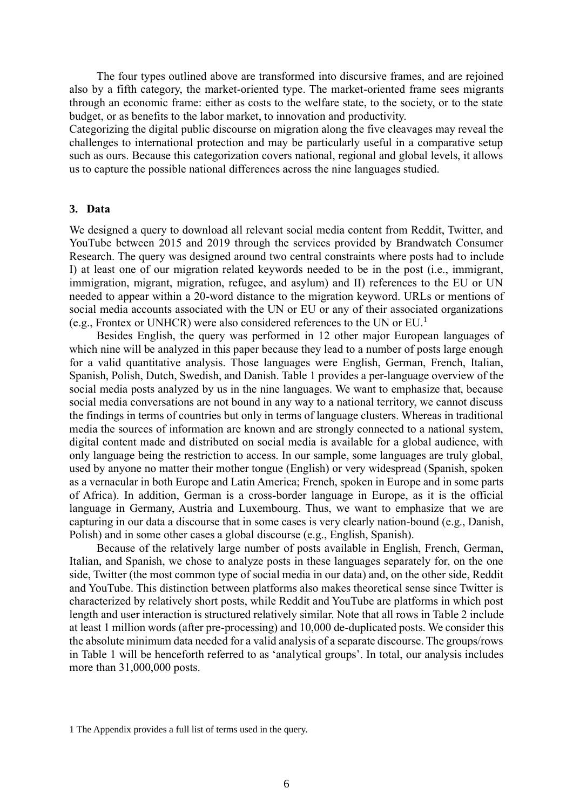The four types outlined above are transformed into discursive frames, and are rejoined also by a fifth category, the market-oriented type. The market-oriented frame sees migrants through an economic frame: either as costs to the welfare state, to the society, or to the state budget, or as benefits to the labor market, to innovation and productivity.

Categorizing the digital public discourse on migration along the five cleavages may reveal the challenges to international protection and may be particularly useful in a comparative setup such as ours. Because this categorization covers national, regional and global levels, it allows us to capture the possible national differences across the nine languages studied.

#### **3. Data**

We designed a query to download all relevant social media content from Reddit, Twitter, and YouTube between 2015 and 2019 through the services provided by Brandwatch Consumer Research. The query was designed around two central constraints where posts had to include I) at least one of our migration related keywords needed to be in the post (i.e., immigrant, immigration, migrant, migration, refugee, and asylum) and II) references to the EU or UN needed to appear within a 20-word distance to the migration keyword. URLs or mentions of social media accounts associated with the UN or EU or any of their associated organizations (e.g., Frontex or UNHCR) were also considered references to the UN or EU.<sup>1</sup>

Besides English, the query was performed in 12 other major European languages of which nine will be analyzed in this paper because they lead to a number of posts large enough for a valid quantitative analysis. Those languages were English, German, French, Italian, Spanish, Polish, Dutch, Swedish, and Danish. Table 1 provides a per-language overview of the social media posts analyzed by us in the nine languages. We want to emphasize that, because social media conversations are not bound in any way to a national territory, we cannot discuss the findings in terms of countries but only in terms of language clusters. Whereas in traditional media the sources of information are known and are strongly connected to a national system, digital content made and distributed on social media is available for a global audience, with only language being the restriction to access. In our sample, some languages are truly global, used by anyone no matter their mother tongue (English) or very widespread (Spanish, spoken as a vernacular in both Europe and Latin America; French, spoken in Europe and in some parts of Africa). In addition, German is a cross-border language in Europe, as it is the official language in Germany, Austria and Luxembourg. Thus, we want to emphasize that we are capturing in our data a discourse that in some cases is very clearly nation-bound (e.g., Danish, Polish) and in some other cases a global discourse (e.g., English, Spanish).

Because of the relatively large number of posts available in English, French, German, Italian, and Spanish, we chose to analyze posts in these languages separately for, on the one side, Twitter (the most common type of social media in our data) and, on the other side, Reddit and YouTube. This distinction between platforms also makes theoretical sense since Twitter is characterized by relatively short posts, while Reddit and YouTube are platforms in which post length and user interaction is structured relatively similar. Note that all rows in Table 2 include at least 1 million words (after pre-processing) and 10,000 de-duplicated posts. We consider this the absolute minimum data needed for a valid analysis of a separate discourse. The groups/rows in Table 1 will be henceforth referred to as 'analytical groups'. In total, our analysis includes more than 31,000,000 posts.

<sup>1</sup> The Appendix provides a full list of terms used in the query.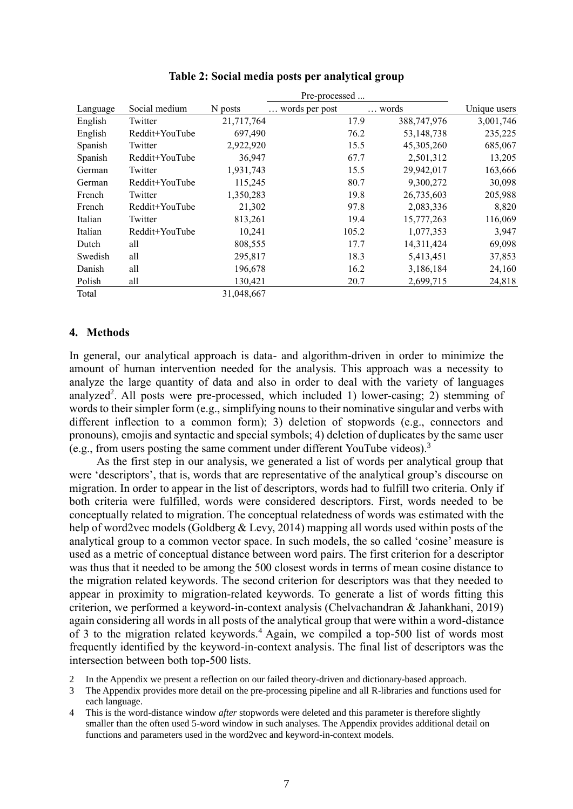|          |                |            | Pre-processed  |       |              |              |
|----------|----------------|------------|----------------|-------|--------------|--------------|
| Language | Social medium  | N posts    | words per post |       | words        | Unique users |
| English  | Twitter        | 21,717,764 |                | 17.9  | 388,747,976  | 3,001,746    |
| English  | Reddit+YouTube | 697,490    |                | 76.2  | 53,148,738   | 235,225      |
| Spanish  | Twitter        | 2,922,920  |                | 15.5  | 45, 305, 260 | 685,067      |
| Spanish  | Reddit+YouTube | 36,947     |                | 67.7  | 2,501,312    | 13,205       |
| German   | Twitter        | 1,931,743  |                | 15.5  | 29,942,017   | 163,666      |
| German   | Reddit+YouTube | 115,245    |                | 80.7  | 9,300,272    | 30,098       |
| French   | Twitter        | 1,350,283  |                | 19.8  | 26,735,603   | 205,988      |
| French   | Reddit+YouTube | 21,302     |                | 97.8  | 2,083,336    | 8,820        |
| Italian  | Twitter        | 813,261    |                | 19.4  | 15,777,263   | 116,069      |
| Italian  | Reddit+YouTube | 10,241     |                | 105.2 | 1,077,353    | 3,947        |
| Dutch    | all            | 808,555    |                | 17.7  | 14,311,424   | 69,098       |
| Swedish  | all            | 295,817    |                | 18.3  | 5,413,451    | 37,853       |
| Danish   | all            | 196,678    |                | 16.2  | 3,186,184    | 24,160       |
| Polish   | all            | 130,421    |                | 20.7  | 2,699,715    | 24,818       |
| Total    |                | 31,048,667 |                |       |              |              |

#### **Table 2: Social media posts per analytical group**

#### **4. Methods**

In general, our analytical approach is data- and algorithm-driven in order to minimize the amount of human intervention needed for the analysis. This approach was a necessity to analyze the large quantity of data and also in order to deal with the variety of languages analyzed<sup>2</sup>. All posts were pre-processed, which included 1) lower-casing; 2) stemming of words to their simpler form (e.g., simplifying nouns to their nominative singular and verbs with different inflection to a common form); 3) deletion of stopwords (e.g., connectors and pronouns), emojis and syntactic and special symbols; 4) deletion of duplicates by the same user (e.g., from users posting the same comment under different YouTube videos).<sup>3</sup>

As the first step in our analysis, we generated a list of words per analytical group that were 'descriptors', that is, words that are representative of the analytical group's discourse on migration. In order to appear in the list of descriptors, words had to fulfill two criteria. Only if both criteria were fulfilled, words were considered descriptors. First, words needed to be conceptually related to migration. The conceptual relatedness of words was estimated with the help of word2vec models (Goldberg & Levy, 2014) mapping all words used within posts of the analytical group to a common vector space. In such models, the so called 'cosine' measure is used as a metric of conceptual distance between word pairs. The first criterion for a descriptor was thus that it needed to be among the 500 closest words in terms of mean cosine distance to the migration related keywords. The second criterion for descriptors was that they needed to appear in proximity to migration-related keywords. To generate a list of words fitting this criterion, we performed a keyword-in-context analysis (Chelvachandran & Jahankhani, 2019) again considering all words in all posts of the analytical group that were within a word-distance of 3 to the migration related keywords.<sup>4</sup> Again, we compiled a top-500 list of words most frequently identified by the keyword-in-context analysis. The final list of descriptors was the intersection between both top-500 lists.

- 2 In the Appendix we present a reflection on our failed theory-driven and dictionary-based approach.
- 3 The Appendix provides more detail on the pre-processing pipeline and all R-libraries and functions used for each language.
- 4 This is the word-distance window *after* stopwords were deleted and this parameter is therefore slightly smaller than the often used 5-word window in such analyses. The Appendix provides additional detail on functions and parameters used in the word2vec and keyword-in-context models.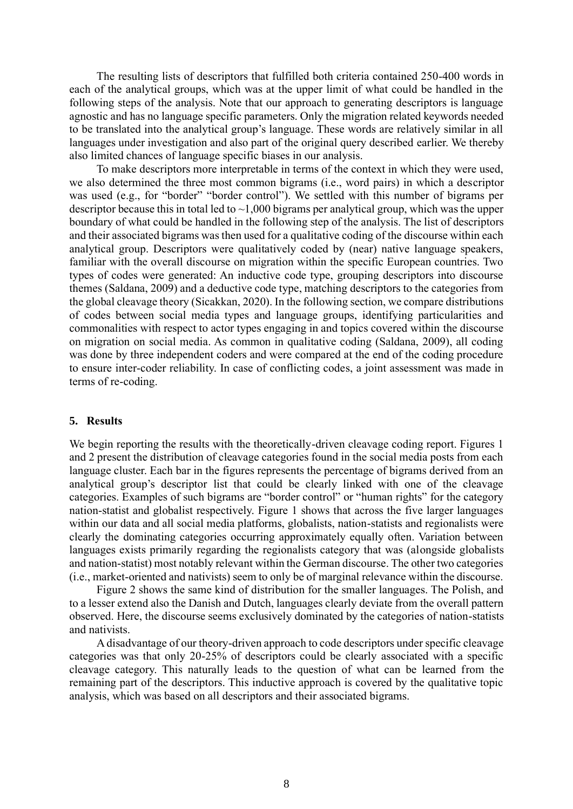The resulting lists of descriptors that fulfilled both criteria contained 250-400 words in each of the analytical groups, which was at the upper limit of what could be handled in the following steps of the analysis. Note that our approach to generating descriptors is language agnostic and has no language specific parameters. Only the migration related keywords needed to be translated into the analytical group's language. These words are relatively similar in all languages under investigation and also part of the original query described earlier. We thereby also limited chances of language specific biases in our analysis.

To make descriptors more interpretable in terms of the context in which they were used, we also determined the three most common bigrams (i.e., word pairs) in which a descriptor was used (e.g., for "border" "border control"). We settled with this number of bigrams per descriptor because this in total led to  $\sim$ 1,000 bigrams per analytical group, which was the upper boundary of what could be handled in the following step of the analysis. The list of descriptors and their associated bigrams was then used for a qualitative coding of the discourse within each analytical group. Descriptors were qualitatively coded by (near) native language speakers, familiar with the overall discourse on migration within the specific European countries. Two types of codes were generated: An inductive code type, grouping descriptors into discourse themes (Saldana, 2009) and a deductive code type, matching descriptors to the categories from the global cleavage theory (Sicakkan, 2020). In the following section, we compare distributions of codes between social media types and language groups, identifying particularities and commonalities with respect to actor types engaging in and topics covered within the discourse on migration on social media. As common in qualitative coding (Saldana, 2009), all coding was done by three independent coders and were compared at the end of the coding procedure to ensure inter-coder reliability. In case of conflicting codes, a joint assessment was made in terms of re-coding.

#### **5. Results**

We begin reporting the results with the theoretically-driven cleavage coding report. Figures 1 and 2 present the distribution of cleavage categories found in the social media posts from each language cluster. Each bar in the figures represents the percentage of bigrams derived from an analytical group's descriptor list that could be clearly linked with one of the cleavage categories. Examples of such bigrams are "border control" or "human rights" for the category nation-statist and globalist respectively. Figure 1 shows that across the five larger languages within our data and all social media platforms, globalists, nation-statists and regionalists were clearly the dominating categories occurring approximately equally often. Variation between languages exists primarily regarding the regionalists category that was (alongside globalists and nation-statist) most notably relevant within the German discourse. The other two categories (i.e., market-oriented and nativists) seem to only be of marginal relevance within the discourse.

Figure 2 shows the same kind of distribution for the smaller languages. The Polish, and to a lesser extend also the Danish and Dutch, languages clearly deviate from the overall pattern observed. Here, the discourse seems exclusively dominated by the categories of nation-statists and nativists.

A disadvantage of our theory-driven approach to code descriptors under specific cleavage categories was that only 20-25% of descriptors could be clearly associated with a specific cleavage category. This naturally leads to the question of what can be learned from the remaining part of the descriptors. This inductive approach is covered by the qualitative topic analysis, which was based on all descriptors and their associated bigrams.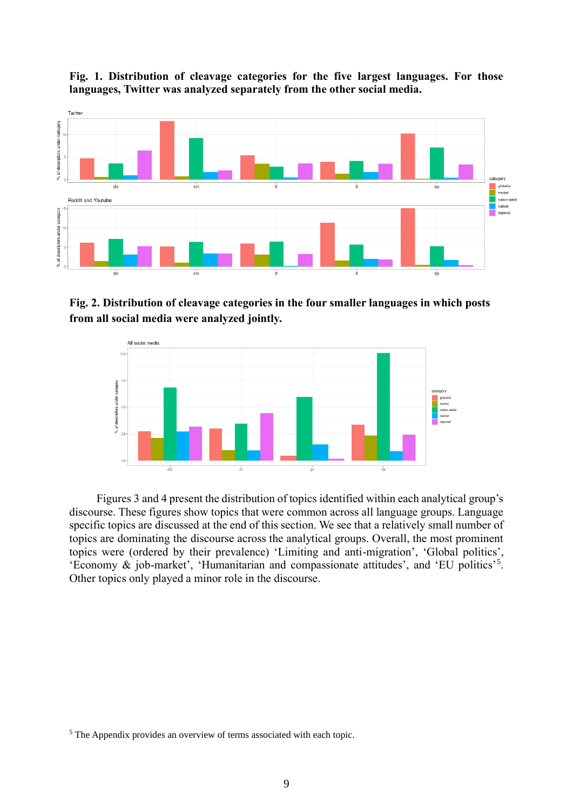

**Fig. 1. Distribution of cleavage categories for the five largest languages. For those languages, Twitter was analyzed separately from the other social media.**

**Fig. 2. Distribution of cleavage categories in the four smaller languages in which posts from all social media were analyzed jointly.**



Figures 3 and 4 present the distribution of topics identified within each analytical group's discourse. These figures show topics that were common across all language groups. Language specific topics are discussed at the end of this section. We see that a relatively small number of topics are dominating the discourse across the analytical groups. Overall, the most prominent topics were (ordered by their prevalence) 'Limiting and anti-migration', 'Global politics', 'Economy & job-market', 'Humanitarian and compassionate attitudes', and 'EU politics'<sup>5</sup> . Other topics only played a minor role in the discourse.

<sup>5</sup> The Appendix provides an overview of terms associated with each topic.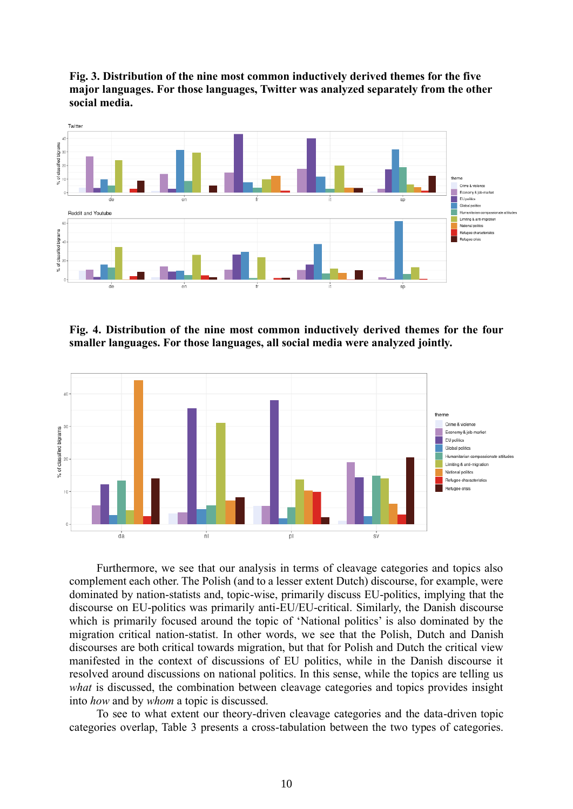**Fig. 3. Distribution of the nine most common inductively derived themes for the five major languages. For those languages, Twitter was analyzed separately from the other social media.**



**Fig. 4. Distribution of the nine most common inductively derived themes for the four smaller languages. For those languages, all social media were analyzed jointly.**



Furthermore, we see that our analysis in terms of cleavage categories and topics also complement each other. The Polish (and to a lesser extent Dutch) discourse, for example, were dominated by nation-statists and, topic-wise, primarily discuss EU-politics, implying that the discourse on EU-politics was primarily anti-EU/EU-critical. Similarly, the Danish discourse which is primarily focused around the topic of 'National politics' is also dominated by the migration critical nation-statist. In other words, we see that the Polish, Dutch and Danish discourses are both critical towards migration, but that for Polish and Dutch the critical view manifested in the context of discussions of EU politics, while in the Danish discourse it resolved around discussions on national politics. In this sense, while the topics are telling us *what* is discussed, the combination between cleavage categories and topics provides insight into *how* and by *whom* a topic is discussed.

To see to what extent our theory-driven cleavage categories and the data-driven topic categories overlap, Table 3 presents a cross-tabulation between the two types of categories.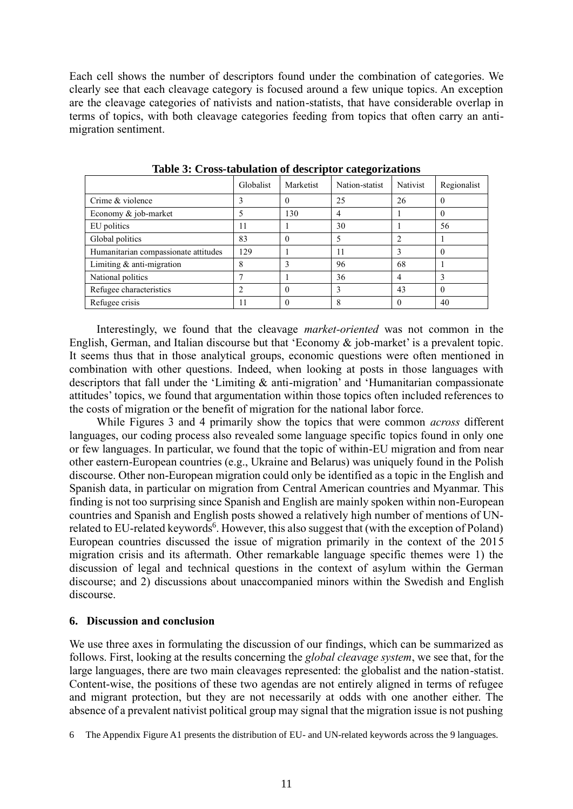Each cell shows the number of descriptors found under the combination of categories. We clearly see that each cleavage category is focused around a few unique topics. An exception are the cleavage categories of nativists and nation-statists, that have considerable overlap in terms of topics, with both cleavage categories feeding from topics that often carry an antimigration sentiment.

|                                      |           |           | .              |                 |             |
|--------------------------------------|-----------|-----------|----------------|-----------------|-------------|
|                                      | Globalist | Marketist | Nation-statist | <b>Nativist</b> | Regionalist |
| Crime & violence                     |           | $\theta$  | 25             | 26              | $\cup$      |
| Economy & job-market                 |           | 130       | 4              |                 | $\left($    |
| EU politics                          | 11        |           | 30             |                 | 56          |
| Global politics                      | 83        | 0         |                | $\overline{2}$  |             |
| Humanitarian compassionate attitudes | 129       |           | 11             | 3               | 0           |
| Limiting $&$ anti-migration          | 8         |           | 96             | 68              |             |
| National politics                    |           |           | 36             | 4               | 3           |
| Refugee characteristics              |           | $\Omega$  |                | 43              | $\theta$    |
| Refugee crisis                       | 11        | $\theta$  |                |                 | 40          |

**Table 3: Cross-tabulation of descriptor categorizations**

Interestingly, we found that the cleavage *market-oriented* was not common in the English, German, and Italian discourse but that 'Economy & job-market' is a prevalent topic. It seems thus that in those analytical groups, economic questions were often mentioned in combination with other questions. Indeed, when looking at posts in those languages with descriptors that fall under the 'Limiting & anti-migration' and 'Humanitarian compassionate attitudes' topics, we found that argumentation within those topics often included references to the costs of migration or the benefit of migration for the national labor force.

While Figures 3 and 4 primarily show the topics that were common *across* different languages, our coding process also revealed some language specific topics found in only one or few languages. In particular, we found that the topic of within-EU migration and from near other eastern-European countries (e.g., Ukraine and Belarus) was uniquely found in the Polish discourse. Other non-European migration could only be identified as a topic in the English and Spanish data, in particular on migration from Central American countries and Myanmar. This finding is not too surprising since Spanish and English are mainly spoken within non-European countries and Spanish and English posts showed a relatively high number of mentions of UNrelated to EU-related keywords<sup>6</sup>. However, this also suggest that (with the exception of Poland) European countries discussed the issue of migration primarily in the context of the 2015 migration crisis and its aftermath. Other remarkable language specific themes were 1) the discussion of legal and technical questions in the context of asylum within the German discourse; and 2) discussions about unaccompanied minors within the Swedish and English discourse.

#### **6. Discussion and conclusion**

We use three axes in formulating the discussion of our findings, which can be summarized as follows. First, looking at the results concerning the *global cleavage system*, we see that, for the large languages, there are two main cleavages represented: the globalist and the nation-statist. Content-wise, the positions of these two agendas are not entirely aligned in terms of refugee and migrant protection, but they are not necessarily at odds with one another either. The absence of a prevalent nativist political group may signal that the migration issue is not pushing

<sup>6</sup> The Appendix Figure A1 presents the distribution of EU- and UN-related keywords across the 9 languages.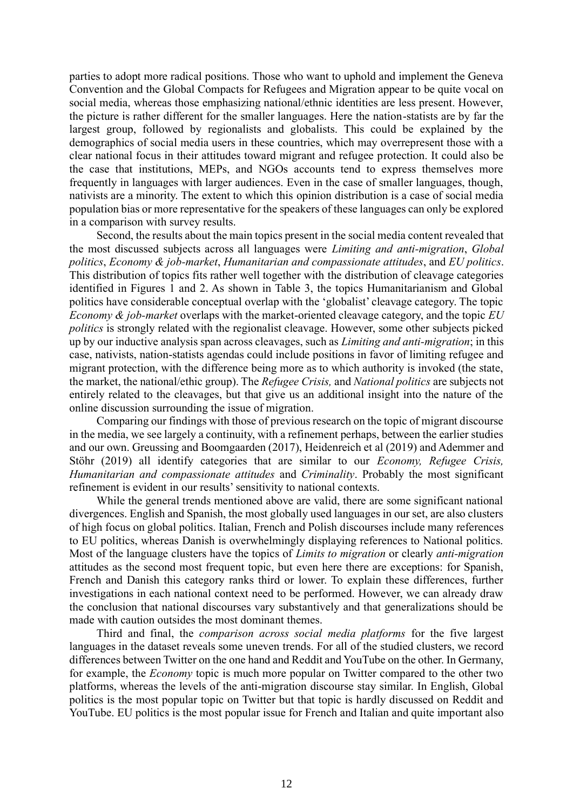parties to adopt more radical positions. Those who want to uphold and implement the Geneva Convention and the Global Compacts for Refugees and Migration appear to be quite vocal on social media, whereas those emphasizing national/ethnic identities are less present. However, the picture is rather different for the smaller languages. Here the nation-statists are by far the largest group, followed by regionalists and globalists. This could be explained by the demographics of social media users in these countries, which may overrepresent those with a clear national focus in their attitudes toward migrant and refugee protection. It could also be the case that institutions, MEPs, and NGOs accounts tend to express themselves more frequently in languages with larger audiences. Even in the case of smaller languages, though, nativists are a minority. The extent to which this opinion distribution is a case of social media population bias or more representative for the speakers of these languages can only be explored in a comparison with survey results.

Second, the results about the main topics present in the social media content revealed that the most discussed subjects across all languages were *Limiting and anti-migration*, *Global politics*, *Economy & job-market*, *Humanitarian and compassionate attitudes*, and *EU politics*. This distribution of topics fits rather well together with the distribution of cleavage categories identified in Figures 1 and 2. As shown in Table 3, the topics Humanitarianism and Global politics have considerable conceptual overlap with the 'globalist' cleavage category. The topic *Economy & job-market* overlaps with the market-oriented cleavage category, and the topic *EU politics* is strongly related with the regionalist cleavage. However, some other subjects picked up by our inductive analysis span across cleavages, such as *Limiting and anti-migration*; in this case, nativists, nation-statists agendas could include positions in favor of limiting refugee and migrant protection, with the difference being more as to which authority is invoked (the state, the market, the national/ethic group). The *Refugee Crisis,* and *National politics* are subjects not entirely related to the cleavages, but that give us an additional insight into the nature of the online discussion surrounding the issue of migration.

Comparing our findings with those of previous research on the topic of migrant discourse in the media, we see largely a continuity, with a refinement perhaps, between the earlier studies and our own. Greussing and Boomgaarden (2017), Heidenreich et al (2019) and Ademmer and Stöhr (2019) all identify categories that are similar to our *Economy, Refugee Crisis, Humanitarian and compassionate attitudes* and *Criminality*. Probably the most significant refinement is evident in our results' sensitivity to national contexts.

While the general trends mentioned above are valid, there are some significant national divergences. English and Spanish, the most globally used languages in our set, are also clusters of high focus on global politics. Italian, French and Polish discourses include many references to EU politics, whereas Danish is overwhelmingly displaying references to National politics. Most of the language clusters have the topics of *Limits to migration* or clearly *anti-migration* attitudes as the second most frequent topic, but even here there are exceptions: for Spanish, French and Danish this category ranks third or lower. To explain these differences, further investigations in each national context need to be performed. However, we can already draw the conclusion that national discourses vary substantively and that generalizations should be made with caution outsides the most dominant themes.

Third and final, the *comparison across social media platforms* for the five largest languages in the dataset reveals some uneven trends. For all of the studied clusters, we record differences between Twitter on the one hand and Reddit and YouTube on the other. In Germany, for example, the *Economy* topic is much more popular on Twitter compared to the other two platforms, whereas the levels of the anti-migration discourse stay similar. In English, Global politics is the most popular topic on Twitter but that topic is hardly discussed on Reddit and YouTube. EU politics is the most popular issue for French and Italian and quite important also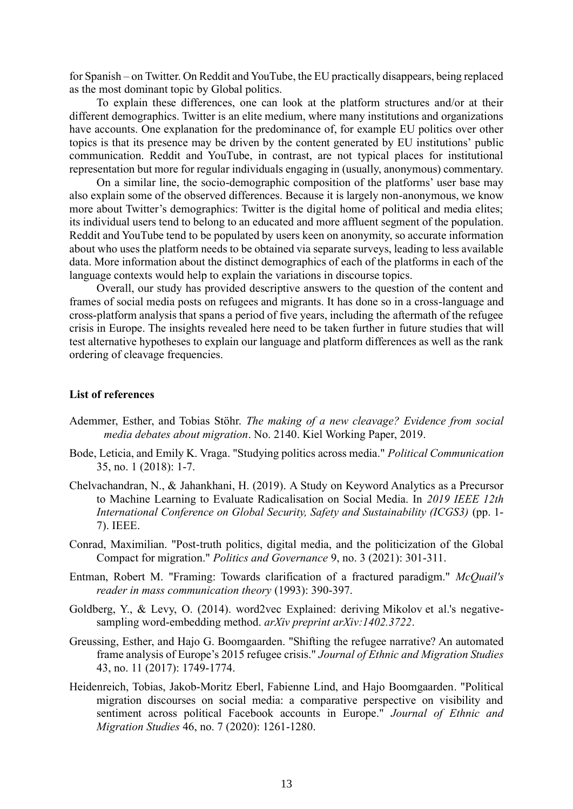for Spanish – on Twitter. On Reddit and YouTube, the EU practically disappears, being replaced as the most dominant topic by Global politics.

To explain these differences, one can look at the platform structures and/or at their different demographics. Twitter is an elite medium, where many institutions and organizations have accounts. One explanation for the predominance of, for example EU politics over other topics is that its presence may be driven by the content generated by EU institutions' public communication. Reddit and YouTube, in contrast, are not typical places for institutional representation but more for regular individuals engaging in (usually, anonymous) commentary.

On a similar line, the socio-demographic composition of the platforms' user base may also explain some of the observed differences. Because it is largely non-anonymous, we know more about Twitter's demographics: Twitter is the digital home of political and media elites; its individual users tend to belong to an educated and more affluent segment of the population. Reddit and YouTube tend to be populated by users keen on anonymity, so accurate information about who uses the platform needs to be obtained via separate surveys, leading to less available data. More information about the distinct demographics of each of the platforms in each of the language contexts would help to explain the variations in discourse topics.

Overall, our study has provided descriptive answers to the question of the content and frames of social media posts on refugees and migrants. It has done so in a cross-language and cross-platform analysis that spans a period of five years, including the aftermath of the refugee crisis in Europe. The insights revealed here need to be taken further in future studies that will test alternative hypotheses to explain our language and platform differences as well as the rank ordering of cleavage frequencies.

#### **List of references**

- Ademmer, Esther, and Tobias Stöhr. *The making of a new cleavage? Evidence from social media debates about migration*. No. 2140. Kiel Working Paper, 2019.
- Bode, Leticia, and Emily K. Vraga. "Studying politics across media." *Political Communication* 35, no. 1 (2018): 1-7.
- Chelvachandran, N., & Jahankhani, H. (2019). A Study on Keyword Analytics as a Precursor to Machine Learning to Evaluate Radicalisation on Social Media. In *2019 IEEE 12th International Conference on Global Security, Safety and Sustainability (ICGS3)* (pp. 1- 7). IEEE.
- Conrad, Maximilian. "Post-truth politics, digital media, and the politicization of the Global Compact for migration." *Politics and Governance* 9, no. 3 (2021): 301-311.
- Entman, Robert M. "Framing: Towards clarification of a fractured paradigm." *McQuail's reader in mass communication theory* (1993): 390-397.
- Goldberg, Y., & Levy, O. (2014). word2vec Explained: deriving Mikolov et al.'s negativesampling word-embedding method. *arXiv preprint arXiv:1402.3722*.
- Greussing, Esther, and Hajo G. Boomgaarden. "Shifting the refugee narrative? An automated frame analysis of Europe's 2015 refugee crisis." *Journal of Ethnic and Migration Studies* 43, no. 11 (2017): 1749-1774.
- Heidenreich, Tobias, Jakob-Moritz Eberl, Fabienne Lind, and Hajo Boomgaarden. "Political migration discourses on social media: a comparative perspective on visibility and sentiment across political Facebook accounts in Europe." *Journal of Ethnic and Migration Studies* 46, no. 7 (2020): 1261-1280.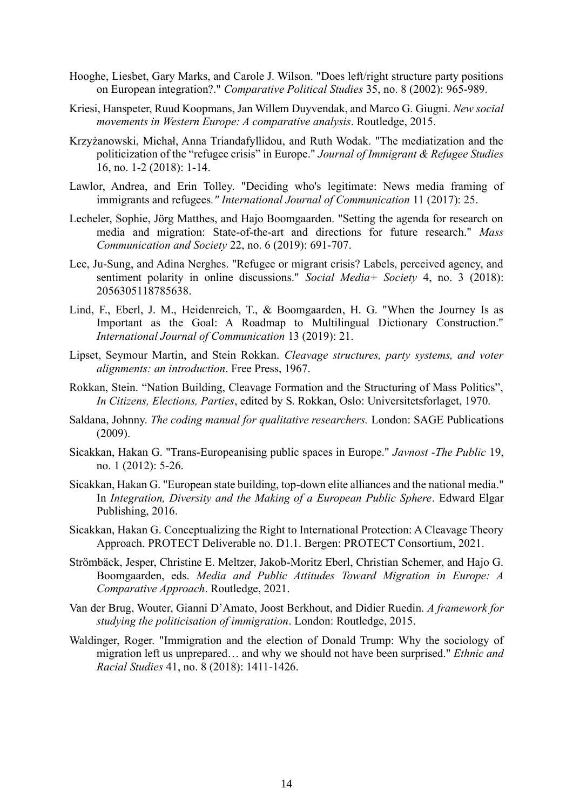- Hooghe, Liesbet, Gary Marks, and Carole J. Wilson. "Does left/right structure party positions on European integration?." *Comparative Political Studies* 35, no. 8 (2002): 965-989.
- Kriesi, Hanspeter, Ruud Koopmans, Jan Willem Duyvendak, and Marco G. Giugni. *New social movements in Western Europe: A comparative analysis*. Routledge, 2015.
- Krzyżanowski, Michał, Anna Triandafyllidou, and Ruth Wodak. "The mediatization and the politicization of the "refugee crisis" in Europe." *Journal of Immigrant & Refugee Studies* 16, no. 1-2 (2018): 1-14.
- Lawlor, Andrea, and Erin Tolley. "Deciding who's legitimate: News media framing of immigrants and refugees*." International Journal of Communication* 11 (2017): 25.
- Lecheler, Sophie, Jörg Matthes, and Hajo Boomgaarden. "Setting the agenda for research on media and migration: State-of-the-art and directions for future research." *Mass Communication and Society* 22, no. 6 (2019): 691-707.
- Lee, Ju-Sung, and Adina Nerghes. "Refugee or migrant crisis? Labels, perceived agency, and sentiment polarity in online discussions." *Social Media+ Society* 4, no. 3 (2018): 2056305118785638.
- Lind, F., Eberl, J. M., Heidenreich, T., & Boomgaarden, H. G. "When the Journey Is as Important as the Goal: A Roadmap to Multilingual Dictionary Construction." *International Journal of Communication* 13 (2019): 21.
- Lipset, Seymour Martin, and Stein Rokkan. *Cleavage structures, party systems, and voter alignments: an introduction*. Free Press, 1967.
- Rokkan, Stein. "Nation Building, Cleavage Formation and the Structuring of Mass Politics", *In Citizens, Elections, Parties*, edited by S. Rokkan, Oslo: Universitetsforlaget, 1970.
- Saldana, Johnny. *The coding manual for qualitative researchers.* London: SAGE Publications (2009).
- Sicakkan, Hakan G. "Trans-Europeanising public spaces in Europe." *Javnost -The Public* 19, no. 1 (2012): 5-26.
- Sicakkan, Hakan G. "European state building, top-down elite alliances and the national media." In *Integration, Diversity and the Making of a European Public Sphere*. Edward Elgar Publishing, 2016.
- Sicakkan, Hakan G. Conceptualizing the Right to International Protection: A Cleavage Theory Approach. PROTECT Deliverable no. D1.1. Bergen: PROTECT Consortium, 2021.
- Strömbäck, Jesper, Christine E. Meltzer, Jakob-Moritz Eberl, Christian Schemer, and Hajo G. Boomgaarden, eds. *Media and Public Attitudes Toward Migration in Europe: A Comparative Approach*. Routledge, 2021.
- Van der Brug, Wouter, Gianni D'Amato, Joost Berkhout, and Didier Ruedin. *A framework for studying the politicisation of immigration*. London: Routledge, 2015.
- Waldinger, Roger. "Immigration and the election of Donald Trump: Why the sociology of migration left us unprepared… and why we should not have been surprised." *Ethnic and Racial Studies* 41, no. 8 (2018): 1411-1426.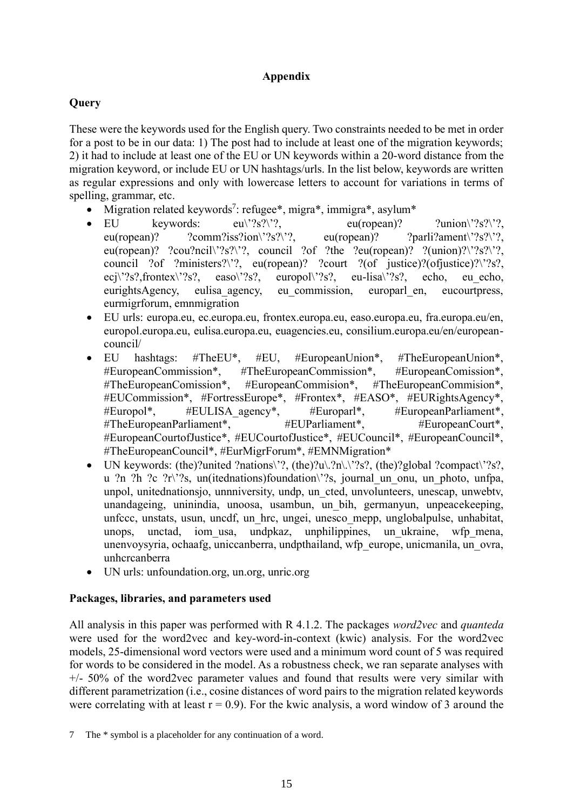## **Appendix**

# **Query**

These were the keywords used for the English query. Two constraints needed to be met in order for a post to be in our data: 1) The post had to include at least one of the migration keywords; 2) it had to include at least one of the EU or UN keywords within a 20-word distance from the migration keyword, or include EU or UN hashtags/urls. In the list below, keywords are written as regular expressions and only with lowercase letters to account for variations in terms of spelling, grammar, etc.

- Migration related keywords<sup>7</sup>: refugee\*, migra\*, immigra\*, asylum\*
- EU keywords:  $eu\{?s?\}$ ?,  $eu(\text{ropean})$ ? ?union\'?s?\'?, eu(ropean)? ?comm?iss?ion\'?s?\'?, eu(ropean)? ?parli?ament\'?s?\'?, eu(ropean)? ?cou?ncil\'?s?\'?, council ?of ?the ?eu(ropean)? ?(union)?\'?s?\'?, council ?of ?ministers?\'?, eu(ropean)? ?court ?(of justice)?(ofjustice)?\'?s?, ecj $\langle$ '?s?,frontex $\langle$ '?s?, easo $\langle$ '?s?, europol $\langle$ '?s?, eu-lisa $\langle$ '?s?, echo, eu echo, eurightsAgency, eulisa agency, eu commission, europarl en, eucourtpress, eurmigrforum, emnmigration
- EU urls: europa.eu, ec.europa.eu, frontex.europa.eu, easo.europa.eu, fra.europa.eu/en, europol.europa.eu, eulisa.europa.eu, euagencies.eu, consilium.europa.eu/en/europeancouncil/
- EU hashtags: #TheEU\*, #EU, #EuropeanUnion\*, #TheEuropeanUnion\*, #EuropeanCommission\*, #TheEuropeanCommission\*, #EuropeanComission\*, #TheEuropeanComission\*, #EuropeanCommision\*, #TheEuropeanCommision\*, #EUCommission\*, #FortressEurope\*, #Frontex\*, #EASO\*, #EURightsAgency\*, #Europol\*, #EULISA agency\*, #Europarl\*, #EuropeanParliament\*, #TheEuropeanParliament\*, #EUParliament\*, #EuropeanCourt\*, #EuropeanCourtofJustice\*, #EUCourtofJustice\*, #EUCouncil\*, #EuropeanCouncil\*, #TheEuropeanCouncil\*, #EurMigrForum\*, #EMNMigration\*
- UN keywords: (the)?united ?nations\'?, (the)?u\.?n\.\'?s?, (the)?global ?compact\'?s?, u ?n ?h ?c ?r\'?s, un(itednations)foundation\'?s, journal\_un\_onu, un\_photo, unfpa, unpol, unitednationsjo, unnniversity, undp, un\_cted, unvolunteers, unescap, unwebtv, unandageing, uninindia, unoosa, usambun, un\_bih, germanyun, unpeacekeeping, unfccc, unstats, usun, uncdf, un\_hrc, ungei, unesco\_mepp, unglobalpulse, unhabitat, unops, unctad, iom\_usa, undpkaz, unphilippines, un\_ukraine, wfp\_mena, unenvoysyria, ochaafg, uniccanberra, undpthailand, wfp\_europe, unicmanila, un\_ovra, unhcrcanberra
- UN urls: unfoundation.org, un.org, unric.org

## **Packages, libraries, and parameters used**

All analysis in this paper was performed with R 4.1.2. The packages *word2vec* and *quanteda* were used for the word2vec and key-word-in-context (kwic) analysis. For the word2vec models, 25-dimensional word vectors were used and a minimum word count of 5 was required for words to be considered in the model. As a robustness check, we ran separate analyses with  $+/-$  50% of the word2vec parameter values and found that results were very similar with different parametrization (i.e., cosine distances of word pairs to the migration related keywords were correlating with at least  $r = 0.9$ . For the kwic analysis, a word window of 3 around the

<sup>7</sup> The \* symbol is a placeholder for any continuation of a word.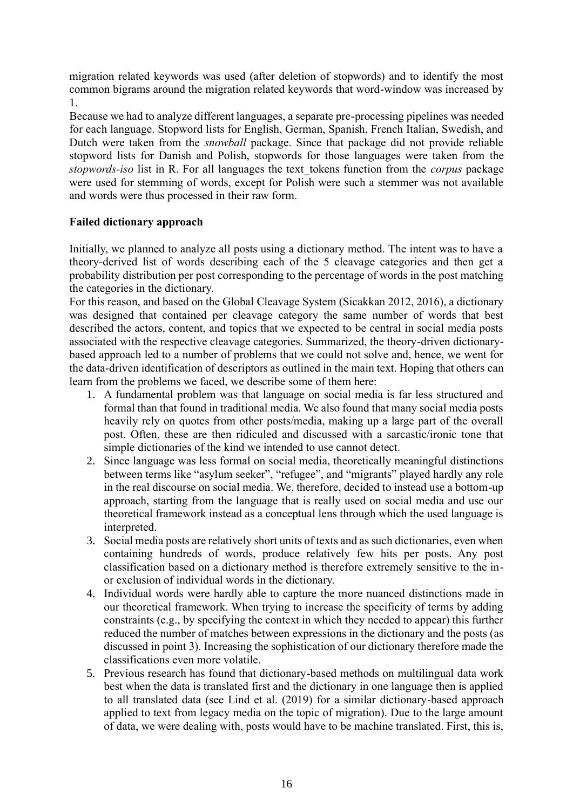migration related keywords was used (after deletion of stopwords) and to identify the most common bigrams around the migration related keywords that word-window was increased by 1.

Because we had to analyze different languages, a separate pre-processing pipelines was needed for each language. Stopword lists for English, German, Spanish, French Italian, Swedish, and Dutch were taken from the *snowball* package. Since that package did not provide reliable stopword lists for Danish and Polish, stopwords for those languages were taken from the *stopwords-iso* list in R. For all languages the text\_tokens function from the *corpus* package were used for stemming of words, except for Polish were such a stemmer was not available and words were thus processed in their raw form.

## **Failed dictionary approach**

Initially, we planned to analyze all posts using a dictionary method. The intent was to have a theory-derived list of words describing each of the 5 cleavage categories and then get a probability distribution per post corresponding to the percentage of words in the post matching the categories in the dictionary.

For this reason, and based on the Global Cleavage System (Sicakkan 2012, 2016), a dictionary was designed that contained per cleavage category the same number of words that best described the actors, content, and topics that we expected to be central in social media posts associated with the respective cleavage categories. Summarized, the theory-driven dictionarybased approach led to a number of problems that we could not solve and, hence, we went for the data-driven identification of descriptors as outlined in the main text. Hoping that others can learn from the problems we faced, we describe some of them here:

- 1. A fundamental problem was that language on social media is far less structured and formal than that found in traditional media. We also found that many social media posts heavily rely on quotes from other posts/media, making up a large part of the overall post. Often, these are then ridiculed and discussed with a sarcastic/ironic tone that simple dictionaries of the kind we intended to use cannot detect.
- 2. Since language was less formal on social media, theoretically meaningful distinctions between terms like "asylum seeker", "refugee", and "migrants" played hardly any role in the real discourse on social media. We, therefore, decided to instead use a bottom-up approach, starting from the language that is really used on social media and use our theoretical framework instead as a conceptual lens through which the used language is interpreted.
- 3. Social media posts are relatively short units of texts and as such dictionaries, even when containing hundreds of words, produce relatively few hits per posts. Any post classification based on a dictionary method is therefore extremely sensitive to the inor exclusion of individual words in the dictionary.
- 4. Individual words were hardly able to capture the more nuanced distinctions made in our theoretical framework. When trying to increase the specificity of terms by adding constraints (e.g., by specifying the context in which they needed to appear) this further reduced the number of matches between expressions in the dictionary and the posts (as discussed in point 3). Increasing the sophistication of our dictionary therefore made the classifications even more volatile.
- 5. Previous research has found that dictionary-based methods on multilingual data work best when the data is translated first and the dictionary in one language then is applied to all translated data (see Lind et al. (2019) for a similar dictionary-based approach applied to text from legacy media on the topic of migration). Due to the large amount of data, we were dealing with, posts would have to be machine translated. First, this is,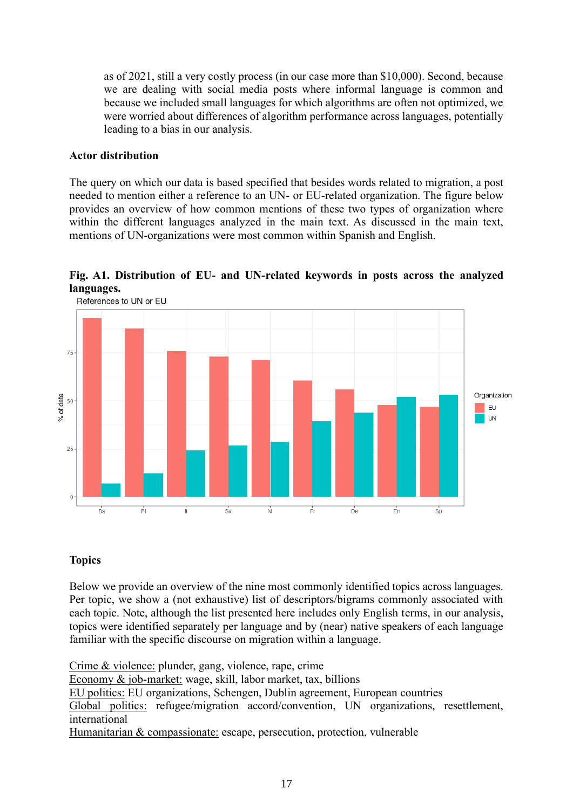as of 2021, still a very costly process (in our case more than \$10,000). Second, because we are dealing with social media posts where informal language is common and because we included small languages for which algorithms are often not optimized, we were worried about differences of algorithm performance across languages, potentially leading to a bias in our analysis.

#### **Actor distribution**

The query on which our data is based specified that besides words related to migration, a post needed to mention either a reference to an UN- or EU-related organization. The figure below provides an overview of how common mentions of these two types of organization where within the different languages analyzed in the main text. As discussed in the main text, mentions of UN-organizations were most common within Spanish and English.



**Fig. A1. Distribution of EU- and UN-related keywords in posts across the analyzed languages.**

# **Topics**

Below we provide an overview of the nine most commonly identified topics across languages. Per topic, we show a (not exhaustive) list of descriptors/bigrams commonly associated with each topic. Note, although the list presented here includes only English terms, in our analysis, topics were identified separately per language and by (near) native speakers of each language familiar with the specific discourse on migration within a language.

Crime & violence: plunder, gang, violence, rape, crime

Economy & job-market: wage, skill, labor market, tax, billions

EU politics: EU organizations, Schengen, Dublin agreement, European countries

Global politics: refugee/migration accord/convention, UN organizations, resettlement, international

Humanitarian & compassionate: escape, persecution, protection, vulnerable